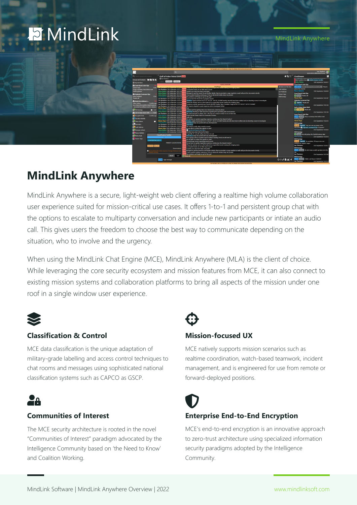# **E** MindLink

MindLink Anywhere

| ाज<br>Lee Thorburn<br>$\Omega$<br>sigmordeno2@devide2019Jocal<br>$\triangle$ 55 $\times$<br>Q search groups and contacts<br>LiveStream<br><b>Gulf of Aden Patrol Shift Store</b><br><b><i><u>Olee Thotum</u></i></b><br>Groups and Contacts <b>In its in the</b><br>Istest updates here: @ Middle Eastern Conflict<br>stricting adistress<br><b>Julius Gelens</b><br><b>@ My mentions</b><br><b>Coast Guard Joint Ops</b><br>SECRET//NOFORM<br><b>A</b> Coast Guard Joint Ops<br>Outside of the first<br>Goldfinger<br>C/REUDO MCE-SECURITYCONTEXT://M., They've<br>Steven Haya<br>1502<br>icined the channel<br><b>IN Leah Gabinus</b><br>Lee Thorburn 19th September 18:31:12<br>Drop a summary here before next<br>Local patrol boats are on their way to assist<br><b>Marco Bellatrix</b><br>Julius Gelens 15th Scotember 18:31:19<br>Captain and crew have been evacuated.<br>briefing please.<br><b>Lee Thorburn</b><br>Julius Gelens 15th September 18:31:27<br>Managed to get the yessel IDs and further details, they've provided a cargo manifest as well, will post the documents shortly<br><b>Coast Guard Joint Ops</b><br><b>13 Highside Command Occ</b><br><b>Steven Hava</b><br>Julius Golons 15th September 18:31:35<br>Three another briefing coming up. I'll be on Mindlink Mobile, keep me posted!<br>U Skyfall thanks all:<br>Marco Rellatrix<br>1501<br>Will Konings<br>Leah Gabinus 15th September 18:31:44<br>No problem, we'll keep an eve on the quilt<br><b>Steven Hava</b><br>23rd Scotember 15:01:07<br>Therits all!<br>Lee Thorburn 19th September 18:32:12<br>Can we have the Vessel IDs to prepare escort?<br><b>Highside Command Ops</b><br>Lee Thorburn 15th September 18:32:32<br>#Distress signal received at N14 31' 59.214" E45 55' 20.5068 mearby aircrafts have been notified and are diverting course to investigate<br>A Aerial Surveillance L.<br>Lee Thorburn 15th September 18:32:40<br>Please be advised, we're on the lookout for unspecified vessels nearing the shipping lanes<br><b>D</b> Spectro Thanks all<br><b>Julius Galeris</b><br>2 weeks ago<br>Lee Thorburn 19th September 18:32:46<br>Suspicious activity reported near Vessel: MAERSK Sealion Type: Container Cargo at N12 31' 59.214" E47 55' 20.5068"<br><b>Marco Bellatrix</b><br>any chance the weather might improve-<br>Lee Thorburn 19th September 18:32:59<br>We need to dispatch a quick response unit to investigate further<br>- our zerial surveillance work is mission<br>Gulf of Aden Patrol Shift<br>Steven Hava 19th September 18:33:26 5//M<br><b>I</b> Your<br>U Goldfinger Thanks all<br><b>C.</b> Will Konings<br>I believe we'll be getting those any minute now, stand by please<br>Lesh Gabinus 15th September 18:32:11<br>$-1537$<br>Julius Gelens 15th September 18:33:40<br>#BREFING Briefing at 1600 tomorrow regarding the upcoming joint naval exercise<br><b>Leah Gabinut</b><br><b>A</b> Gulf of Aden Patrol Shift<br>1501<br>Lee Thorburn 19th September 18:34:06<br>We need everyone to attend, this is the big one, everyone needs to be on their toes<br><b>Coast Guard Joint Ops</b><br>Leah Gabinus 15th September 18:34:22<br>Didnt include Madar Niak He's homeside on leave<br><b>Ex Encrypted Chat</b><br>2 weeks ago<br>C//NF Skyfall Drop a summary here before next<br>Julius Golons 15th September 18:34:31<br>Lucky quy<br><b>Q</b> , Derothy Mariella<br>briefing please.<br>Legh Gabinus 15th September 18:34:56<br>Do we have an update regarding suspicious activity near the Maersk Sealion?<br><b>Steven Haya</b><br>Steven Haya 19th September 18:35:13<br>#Distress signal received at N14 31' 59.214" E45 55' 20.5068" nearby aircrafts have been notified and are diverting course to investigate<br><b>Coulus Galeris</b><br>Leah Gabinus 15th September 18:35:28<br>#DISTRESS Keep me posted with any developments<br><b>Will Konings</b><br><b>CP Kate Baics</b><br>Lee Thorburn 15th September 18:15:36<br><b>ADISTRISS</b><br>TS//NF Spectre Hey Lee, can you jump in the<br>Lee Thorburn 19th Sectember 183550<br>We need to notify other vessels to assist<br><b>Co</b> Leah Gabinus<br>discussion <sup>2</sup> Highside Command Ops re Spectre?<br>Steven Haya 19th September 1836:11<br>Are we able to contact the captain or crew?<br><b>Will Konings</b><br><b>C. Manyara Ashwin</b><br>Julius Gelens 15th Scotember 18:36:16<br>Naval Intel Report Last 24hrs<br>Leah Gabinus 15th September 18:36:44<br>Another busy day in the Gulf of Aden<br><b>Will Konings</b><br><b>E</b> Marco Bellatrix<br>Hopefully it's smooth sailing from here on out.<br>U Skyli I We will pickup the Skyfall business later<br><b>Classification Builder</b><br><sup>2</sup> Mehra Basic<br>#DISTRESS Keep me posted with any developments<br><b>Will Konings</b><br>Write going to file an incident report Incident Tradding Portal we will need to<br><b>E.</b> Steven Hava<br><b>Will Konings</b><br>Are we able to contact the captain or crew?<br>CONFIDENTIAL (US) X<br>TS//NF Spectre No problem I'll hop on in a sec-<br>Several large vessels requesting naval escorts<br>PRIMARY CLASSIFICATIONS<br>Do we have an update regarding suspicious activity near the Maersk Sealion?<br>nothing too urgent I hope?<br>Please be advised, we're on the lookout for unspecified vessels nearing the shipping lanes<br>Lee Thorburn<br><b>NOFORN</b> RELIDO<br>Local patrol boats are on their way to assist<br>$\overline{m}$<br><b>Will Konines</b><br><b>Distemnations</b><br>Captain and crew have been evacuated.<br><b>SUN</b><br>C/NF SkyD1 Ok. kt's have a catch-up later on in the<br>Managed to get the vessel IDs and further details, they've provided a cargo manifest as well, will post the documents shortly<br>US classified information requires a F<br>Release marking.<br>day<br>I have another briefing coming up. I'll be on MindLink Mobile. keep me posted:<br>No problem, we'll keep an eye on the pull<br><b>Lee Thorburn</b><br>23rd September 15:37:05<br>Regel<br><b>SAF</b><br><b>Ti Thanks all I</b> | TOP SECRET/ARCO/DADDROGUS/LIN//TV//RSEN/DRODM/MADDM/NOEDRN |                     |  |
|-------------------------------------------------------------------------------------------------------------------------------------------------------------------------------------------------------------------------------------------------------------------------------------------------------------------------------------------------------------------------------------------------------------------------------------------------------------------------------------------------------------------------------------------------------------------------------------------------------------------------------------------------------------------------------------------------------------------------------------------------------------------------------------------------------------------------------------------------------------------------------------------------------------------------------------------------------------------------------------------------------------------------------------------------------------------------------------------------------------------------------------------------------------------------------------------------------------------------------------------------------------------------------------------------------------------------------------------------------------------------------------------------------------------------------------------------------------------------------------------------------------------------------------------------------------------------------------------------------------------------------------------------------------------------------------------------------------------------------------------------------------------------------------------------------------------------------------------------------------------------------------------------------------------------------------------------------------------------------------------------------------------------------------------------------------------------------------------------------------------------------------------------------------------------------------------------------------------------------------------------------------------------------------------------------------------------------------------------------------------------------------------------------------------------------------------------------------------------------------------------------------------------------------------------------------------------------------------------------------------------------------------------------------------------------------------------------------------------------------------------------------------------------------------------------------------------------------------------------------------------------------------------------------------------------------------------------------------------------------------------------------------------------------------------------------------------------------------------------------------------------------------------------------------------------------------------------------------------------------------------------------------------------------------------------------------------------------------------------------------------------------------------------------------------------------------------------------------------------------------------------------------------------------------------------------------------------------------------------------------------------------------------------------------------------------------------------------------------------------------------------------------------------------------------------------------------------------------------------------------------------------------------------------------------------------------------------------------------------------------------------------------------------------------------------------------------------------------------------------------------------------------------------------------------------------------------------------------------------------------------------------------------------------------------------------------------------------------------------------------------------------------------------------------------------------------------------------------------------------------------------------------------------------------------------------------------------------------------------------------------------------------------------------------------------------------------------------------------------------------------------------------------------------------------------------------------------------------------------------------------------------------------------------------------------------------------------------------------------------------------------------------------------------------------------------------------------------------------------------------------------------------------------------------------------------------------------------------------------------------------------------------------------------------------------------------------------------------------------------------------------------------------------------------------------------------------------------------------------------------------------------------------------------------------------------------------------------------------------------------------------------------------------------------------------------------------------------------------------------------------------------------------------------------------------------------------------------------------------------------------------------------------------------------------------------------------------------------------------------------------------------------------------------------------------------------------------------------------------|------------------------------------------------------------|---------------------|--|
|                                                                                                                                                                                                                                                                                                                                                                                                                                                                                                                                                                                                                                                                                                                                                                                                                                                                                                                                                                                                                                                                                                                                                                                                                                                                                                                                                                                                                                                                                                                                                                                                                                                                                                                                                                                                                                                                                                                                                                                                                                                                                                                                                                                                                                                                                                                                                                                                                                                                                                                                                                                                                                                                                                                                                                                                                                                                                                                                                                                                                                                                                                                                                                                                                                                                                                                                                                                                                                                                                                                                                                                                                                                                                                                                                                                                                                                                                                                                                                                                                                                                                                                                                                                                                                                                                                                                                                                                                                                                                                                                                                                                                                                                                                                                                                                                                                                                                                                                                                                                                                                                                                                                                                                                                                                                                                                                                                                                                                                                                                                                                                                                                                                                                                                                                                                                                                                                                                                                                                                                                                                                                                       |                                                            |                     |  |
| 15th September 18:40:27<br>15th Scotember 18:40:28<br>23rd September 15:01:26<br>23rd September 15:01:38<br>23rd September 15:02:25<br>23rd Scotember 15:34:53<br>23rd September 15:35:10<br>23rd September 15:36:12                                                                                                                                                                                                                                                                                                                                                                                                                                                                                                                                                                                                                                                                                                                                                                                                                                                                                                                                                                                                                                                                                                                                                                                                                                                                                                                                                                                                                                                                                                                                                                                                                                                                                                                                                                                                                                                                                                                                                                                                                                                                                                                                                                                                                                                                                                                                                                                                                                                                                                                                                                                                                                                                                                                                                                                                                                                                                                                                                                                                                                                                                                                                                                                                                                                                                                                                                                                                                                                                                                                                                                                                                                                                                                                                                                                                                                                                                                                                                                                                                                                                                                                                                                                                                                                                                                                                                                                                                                                                                                                                                                                                                                                                                                                                                                                                                                                                                                                                                                                                                                                                                                                                                                                                                                                                                                                                                                                                                                                                                                                                                                                                                                                                                                                                                                                                                                                                                  |                                                            |                     |  |
|                                                                                                                                                                                                                                                                                                                                                                                                                                                                                                                                                                                                                                                                                                                                                                                                                                                                                                                                                                                                                                                                                                                                                                                                                                                                                                                                                                                                                                                                                                                                                                                                                                                                                                                                                                                                                                                                                                                                                                                                                                                                                                                                                                                                                                                                                                                                                                                                                                                                                                                                                                                                                                                                                                                                                                                                                                                                                                                                                                                                                                                                                                                                                                                                                                                                                                                                                                                                                                                                                                                                                                                                                                                                                                                                                                                                                                                                                                                                                                                                                                                                                                                                                                                                                                                                                                                                                                                                                                                                                                                                                                                                                                                                                                                                                                                                                                                                                                                                                                                                                                                                                                                                                                                                                                                                                                                                                                                                                                                                                                                                                                                                                                                                                                                                                                                                                                                                                                                                                                                                                                                                                                       |                                                            |                     |  |
|                                                                                                                                                                                                                                                                                                                                                                                                                                                                                                                                                                                                                                                                                                                                                                                                                                                                                                                                                                                                                                                                                                                                                                                                                                                                                                                                                                                                                                                                                                                                                                                                                                                                                                                                                                                                                                                                                                                                                                                                                                                                                                                                                                                                                                                                                                                                                                                                                                                                                                                                                                                                                                                                                                                                                                                                                                                                                                                                                                                                                                                                                                                                                                                                                                                                                                                                                                                                                                                                                                                                                                                                                                                                                                                                                                                                                                                                                                                                                                                                                                                                                                                                                                                                                                                                                                                                                                                                                                                                                                                                                                                                                                                                                                                                                                                                                                                                                                                                                                                                                                                                                                                                                                                                                                                                                                                                                                                                                                                                                                                                                                                                                                                                                                                                                                                                                                                                                                                                                                                                                                                                                                       |                                                            |                     |  |
|                                                                                                                                                                                                                                                                                                                                                                                                                                                                                                                                                                                                                                                                                                                                                                                                                                                                                                                                                                                                                                                                                                                                                                                                                                                                                                                                                                                                                                                                                                                                                                                                                                                                                                                                                                                                                                                                                                                                                                                                                                                                                                                                                                                                                                                                                                                                                                                                                                                                                                                                                                                                                                                                                                                                                                                                                                                                                                                                                                                                                                                                                                                                                                                                                                                                                                                                                                                                                                                                                                                                                                                                                                                                                                                                                                                                                                                                                                                                                                                                                                                                                                                                                                                                                                                                                                                                                                                                                                                                                                                                                                                                                                                                                                                                                                                                                                                                                                                                                                                                                                                                                                                                                                                                                                                                                                                                                                                                                                                                                                                                                                                                                                                                                                                                                                                                                                                                                                                                                                                                                                                                                                       |                                                            | <b>Will Konings</b> |  |

# **MindLink Anywhere**

MindLink Anywhere is a secure, light-weight web client offering a realtime high volume collaboration user experience suited for mission-critical use cases. It offers 1-to-1 and persistent group chat with the options to escalate to multiparty conversation and include new participants or intiate an audio call. This gives users the freedom to choose the best way to communicate depending on the situation, who to involve and the urgency.

When using the MindLink Chat Engine (MCE), MindLink Anywhere (MLA) is the client of choice. While leveraging the core security ecosystem and mission features from MCE, it can also connect to existing mission systems and collaboration platforms to bring all aspects of the mission under one roof in a single window user experience.



### **Classification & Control**

MCE data classification is the unique adaptation of military-grade labelling and access control techniques to chat rooms and messages using sophisticated national classification systems such as CAPCO as GSCP.

# **2**a

#### **Communities of Interest**

The MCE security architecture is rooted in the novel "Communities of Interest" paradigm advocated by the Intelligence Community based on 'the Need to Know' and Coalition Working.

#### **Mission-focused UX**

MCE natively supports mission scenarios such as realtime coordination, watch-based teamwork, incident management, and is engineered for use from remote or forward-deployed positions.

### **Enterprise End-to-End Encryption**

MCE's end-to-end encryption is an innovative approach to zero-trust architecture using specialized information security paradigms adopted by the Intelligence Community.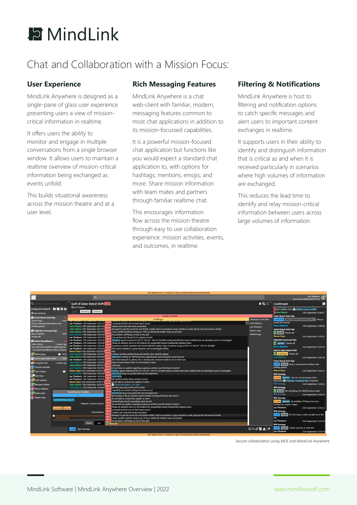

## Chat and Collaboration with a Mission Focus:

#### **User Experience**

MindLink Anywhere is designed as a single-pane of glass user experience presenting users a view of missioncritical information in realtime.

It offers users the ability to monitor and engage in multiple conversations from a single browser window. It allows users to maintain a realtime overview of mission-critical information being exchanged as events unfold.

This builds situational awareness across the mission theatre and at a user level.

#### **Rich Messaging Features**

MindLink Anywhere is a chat web-client with familiar, modern, messaging features common to most chat applications in addition to its mission-focussed capabilities.

It is a powerful mission-focused chat application but functions like you would expect a standard chat application to, with options for hashtags; mentions; emojis; and more. Share mission information with team mates and partners through familiar realtime chat.

This encourages information flow across the mission theatre through easy to use collaboration experience. mission activities, events, and outcomes, in realtime.

#### **Filtering & Notifications**

MindLink Anywhere is host to filtering and notification options to catch specific messages and alert users to important content exchanges in realtime.

It supports users in their ability to identify and distinguish information that is critical as and when it is received particularly in scenarios where high volumes of information are exchanged.

This reduces the lead time to identify and relay mission-critical information between users across large volumes of information.

|                                                                                                                                                                                                                                                                                                                                                                                                                                                                                                                                                                                                                                                                                                                 |                                                                                                                                                                                                                                                                                                                                                                                                                                                                                                                                                                                                                                                                                                                                                                                                                                                                                                                                                                                                                                                                                                                                                                                            | TOP SECRET//HCS-O-P/KDK/SI-G-ABC/TK//RSEN/ORCON/IMCON/NOFORN                                                                                                                                                                                                                                                                                                                                                                                                                                                                                                                                                                                                                                                                                                                                                                                                                                                                                                                                                                                                                                                                                                                                                                                                                                                                                                                                                                                                                                                                                                                                                                                                                                                                                                                                                                                                                                                                                                                                                                                                                                                                                                                                                                                                                                                                                                                                                                                                                                                                                                                                                                                      |                                                                                                           |                                                                                                                                                                                                                                                                                                                                                                                                                                                                                                                                                                                                                                                                                                                                                                                                                                                                                                                                                       |                                                                                                                                                                                                                                                                           |  |  |
|-----------------------------------------------------------------------------------------------------------------------------------------------------------------------------------------------------------------------------------------------------------------------------------------------------------------------------------------------------------------------------------------------------------------------------------------------------------------------------------------------------------------------------------------------------------------------------------------------------------------------------------------------------------------------------------------------------------------|--------------------------------------------------------------------------------------------------------------------------------------------------------------------------------------------------------------------------------------------------------------------------------------------------------------------------------------------------------------------------------------------------------------------------------------------------------------------------------------------------------------------------------------------------------------------------------------------------------------------------------------------------------------------------------------------------------------------------------------------------------------------------------------------------------------------------------------------------------------------------------------------------------------------------------------------------------------------------------------------------------------------------------------------------------------------------------------------------------------------------------------------------------------------------------------------|---------------------------------------------------------------------------------------------------------------------------------------------------------------------------------------------------------------------------------------------------------------------------------------------------------------------------------------------------------------------------------------------------------------------------------------------------------------------------------------------------------------------------------------------------------------------------------------------------------------------------------------------------------------------------------------------------------------------------------------------------------------------------------------------------------------------------------------------------------------------------------------------------------------------------------------------------------------------------------------------------------------------------------------------------------------------------------------------------------------------------------------------------------------------------------------------------------------------------------------------------------------------------------------------------------------------------------------------------------------------------------------------------------------------------------------------------------------------------------------------------------------------------------------------------------------------------------------------------------------------------------------------------------------------------------------------------------------------------------------------------------------------------------------------------------------------------------------------------------------------------------------------------------------------------------------------------------------------------------------------------------------------------------------------------------------------------------------------------------------------------------------------------------------------------------------------------------------------------------------------------------------------------------------------------------------------------------------------------------------------------------------------------------------------------------------------------------------------------------------------------------------------------------------------------------------------------------------------------------------------------------------------------|-----------------------------------------------------------------------------------------------------------|-------------------------------------------------------------------------------------------------------------------------------------------------------------------------------------------------------------------------------------------------------------------------------------------------------------------------------------------------------------------------------------------------------------------------------------------------------------------------------------------------------------------------------------------------------------------------------------------------------------------------------------------------------------------------------------------------------------------------------------------------------------------------------------------------------------------------------------------------------------------------------------------------------------------------------------------------------|---------------------------------------------------------------------------------------------------------------------------------------------------------------------------------------------------------------------------------------------------------------------------|--|--|
| ाज                                                                                                                                                                                                                                                                                                                                                                                                                                                                                                                                                                                                                                                                                                              | $\alpha$                                                                                                                                                                                                                                                                                                                                                                                                                                                                                                                                                                                                                                                                                                                                                                                                                                                                                                                                                                                                                                                                                                                                                                                   |                                                                                                                                                                                                                                                                                                                                                                                                                                                                                                                                                                                                                                                                                                                                                                                                                                                                                                                                                                                                                                                                                                                                                                                                                                                                                                                                                                                                                                                                                                                                                                                                                                                                                                                                                                                                                                                                                                                                                                                                                                                                                                                                                                                                                                                                                                                                                                                                                                                                                                                                                                                                                                                   |                                                                                                           |                                                                                                                                                                                                                                                                                                                                                                                                                                                                                                                                                                                                                                                                                                                                                                                                                                                                                                                                                       | Lee Thorburn<br>G<br>sip:mcedemo.2@devsfb2019.local                                                                                                                                                                                                                       |  |  |
| Q Search groups and contacts                                                                                                                                                                                                                                                                                                                                                                                                                                                                                                                                                                                                                                                                                    | <b>Gulf of Aden Patrol Shift S//NE</b>                                                                                                                                                                                                                                                                                                                                                                                                                                                                                                                                                                                                                                                                                                                                                                                                                                                                                                                                                                                                                                                                                                                                                     |                                                                                                                                                                                                                                                                                                                                                                                                                                                                                                                                                                                                                                                                                                                                                                                                                                                                                                                                                                                                                                                                                                                                                                                                                                                                                                                                                                                                                                                                                                                                                                                                                                                                                                                                                                                                                                                                                                                                                                                                                                                                                                                                                                                                                                                                                                                                                                                                                                                                                                                                                                                                                                                   |                                                                                                           | ▲ 點 ※ LiveStream                                                                                                                                                                                                                                                                                                                                                                                                                                                                                                                                                                                                                                                                                                                                                                                                                                                                                                                                      |                                                                                                                                                                                                                                                                           |  |  |
| Groups and Contacts <b>to B R</b> 25<br>@ My mentions                                                                                                                                                                                                                                                                                                                                                                                                                                                                                                                                                                                                                                                           | @ Lee Thorburn<br>#briefing #distress                                                                                                                                                                                                                                                                                                                                                                                                                                                                                                                                                                                                                                                                                                                                                                                                                                                                                                                                                                                                                                                                                                                                                      |                                                                                                                                                                                                                                                                                                                                                                                                                                                                                                                                                                                                                                                                                                                                                                                                                                                                                                                                                                                                                                                                                                                                                                                                                                                                                                                                                                                                                                                                                                                                                                                                                                                                                                                                                                                                                                                                                                                                                                                                                                                                                                                                                                                                                                                                                                                                                                                                                                                                                                                                                                                                                                                   |                                                                                                           | latest updates here: <a> Middle Eastern Conflict<br/><b>Julius Gelens</b></a>                                                                                                                                                                                                                                                                                                                                                                                                                                                                                                                                                                                                                                                                                                                                                                                                                                                                         | 15th September 18:40:27                                                                                                                                                                                                                                                   |  |  |
| Coast Guard Joint Ops<br>Steven Haya<br>15:02<br>Drop a summary here before next<br>briefing please.<br><b>A</b> Highside Command Ops<br><b>Marco Bellatrix</b><br>15:01<br>Thanks all!<br>Acrial Surveillance L<br><b>Julius Gelens</b><br>2 weeks ago<br>any chance the weather might improve<br>- our aerial surveillance work is mission<br>C Will Konings<br>15:37<br><b>A</b> Gulf of Aden Patrol Shift<br>15:01<br><b>Encrypted Chat</b><br>2 weeks ago<br>Corothy Mariella<br><b>C</b> ulius Gelens<br>п<br>Kate Baics<br><b>Q</b> Leah Gabinus<br>(2, Manyara Ashwin<br>C Marco Bellatrix<br><b>4</b> Melva Baak<br>Steven Haya<br><b>CONFIDENTIAL (US) X</b><br>NOFORN RELIDO<br><b>Jease marking</b> | Lee Thorburn 15th September 18:31:12 S//NI<br>Julius Gelens 15th September 18:31:19 S//NF<br>Julius Gelens 15th September 18:31:27 S//N<br>Julius Gelens 15th September 18:31:35<br>Leah Gabinus 15th September 18:31:44<br>Lee Thorburn 15th September 18:32:12<br>Lee Thorburn 15th September 18:32:32<br>Lee Thorburn 15th September 18:32:40<br>Lee Thorburn 15th September 18:32:46<br>Lee Thorburn 15th September 18:32:59<br>Steven Hava 15th September 18:33:26 S/<br>Leah Gabinus 15th September 18:33:31<br>Julius Gelens 15th September 18:33:40<br>Lee Thorburn 15th September 18:34:06<br>Leah Gabinus 15th September 18:34:22 S//N<br>Julius Gelens 15th September 18:34:31 S//NF Lucky guy<br>Steven Haya 15th September 18:35:13 S//N<br>Leah Gabinus 15th September 18:35:28 S//NF<br>Lee Thorburn 15th September 18:35:36<br>Lee Thorburn 15th September 18:35:50<br>Steven Haya 15th September 18:36:11<br>Julius Gelens 15th September 18:36:16 S//N<br>Leah Gabinus 15th September 18:36:44 S//NF<br><b>Classification Builder</b><br><b>PRIMARY CLASSIFICATIONS</b><br><b>Disseminations</b><br><b>O</b> US classified information requires a Foreign Disclosure and | <b>SECRET//NOFORN</b><br>Goldfinger<br>последните принимати становите в село<br>Local patrol boats are on their way to assist<br>Captain and crew have been evacuated.<br>Managed to get the vessel IDs and further details, they've provided a cargo manifest as well, will post the documents shortly<br>I have another briefing coming up, I'll be on MindLink Mobile, keep me posted!<br>No problem, we'll keep an eve on the gulf<br>S//NF<br>Can we have the Vessel IDs to prepare escort?<br>#Distress signal received at N14 31' 59.214" E45 55' 20.5068"nearby aircrafts have been notified and are diverting course to investigate<br>Please be advised, we're on the lookout for unspecified vessels nearing the shipping lanes<br>Suspicious activity reported near Vessel: MAERSK Sealion Type: Container Cargo at N12 31' 59.214" E47 55' 20.5068"<br>$5/7$ NI<br>We need to dispatch a quick response unit to investigate further<br><b>Yeap</b><br>I believe we'll be getting those any minute now, stand by please<br>#BRIEFING Briefing at 1600 tomorrow regarding the upcoming joint naval exercise<br>We need everyone to attend, this is the big one, everyone needs to be on their toes<br>Didnt include Madar Niak He's homeside on leave<br>Leah Gabinus 15th September 18:34:56 S//NF Do we have an update regarding suspicious activity near the Maersk Sealion?<br>#Distress signal received at N14 31' 59.214" E45 55' 20.5068"nearby aircrafts have been notified and are diverting course to investigate<br>#DISTRESS Keep me posted with any developments<br>#DISTRESS<br>We need to notify other vessels to assist<br>Are we able to contact the captain or crew?<br>Naval Intel Report Last 24hrs<br>Another busy day in the Gulf of Aden<br>Hopefully it's smooth sailing from here on out.<br>5//N<br>#DISTRESS Keep me posted with any developments<br>S//NF<br>We're going to file an incident report Incident Tracking Portal we will need to<br>Are we able to contact the captain or crew?<br>3/7N<br>Several large vessels requesting naval escorts<br>5//NF<br>Do we have an update regarding suspicious activity near the Maersk Sealion?<br><b>I/NE</b><br>Please be advised, we're on the lookout for unspecified vessels nearing the shipping lanes<br>S//N<br>S//NF Local patrol boats are on their way to assist<br>Captain and crew have been evacuated.<br>S//NI<br>Managed to get the vessel IDs and further details, they've provided a cargo manifest as well, will post the documents shortly<br>/N<br>6//NF I have another briefing coming up, I'll be on MindLink Mobile, keep me posted! | @Admiral of the fleet<br><b>Leah Gabinus</b><br>Lee Thorburn<br><b>Steven Hava</b><br><b>Will Konings</b> | <b>Coast Guard Joint Ops</b><br>C//RELIDO MCE-SECURITYCONTEXT://M They've<br>ioined the channel<br><b>Marco Bellatrix</b><br><b>Coast Guard Joint Ops</b><br>U Skyfall Thanks all!<br><b>Steven Haya</b><br><b>Highside Command Ops</b><br><b>VI Spectre Thanks all!</b><br><b>Marco Bellatrix</b><br><b>Gulf of Aden Patrol Shift</b><br>U Goldfinger Thanks all!<br><b>Leah Gabinus</b><br><b>Coast Guard Joint Ops</b><br>C//NF Skyfall Drop a summary here before next<br>briefing please.<br><b>Steven Hava</b><br><b>Will Koninas</b><br>TS//NE Spectre Hey Lee, can you jump in the<br>discussion <b>A</b> Highside Command Ops re Spectre?<br><b>Will Koninas</b><br><b>Will Konings</b><br>U Skyfall We will pickup the Skyfall business later<br><b>Will Konings</b><br><b>Will Konings</b><br>TS//NF Spectre No problem, I'll hop on in a sec-<br>nothing too urgent I hope?<br><b>Lee Thorburn</b><br><b>Will Konings</b><br>C//NF<br>day | 15th September 18:40:28<br>23rd September 15:01:07<br>23rd September 15:01:26<br>23rd September 15:01:38<br>23rd September 15:02:25<br>23rd September 15:34:53<br>23rd September 15:35:10<br>23rd September 15:36:12<br>Skyfall Ok, let's have a catch-up later on in the |  |  |
|                                                                                                                                                                                                                                                                                                                                                                                                                                                                                                                                                                                                                                                                                                                 | Reset<br>Save                                                                                                                                                                                                                                                                                                                                                                                                                                                                                                                                                                                                                                                                                                                                                                                                                                                                                                                                                                                                                                                                                                                                                                              | //NF No problem, we'll keep an eye on the gulf<br>U Thanks all!                                                                                                                                                                                                                                                                                                                                                                                                                                                                                                                                                                                                                                                                                                                                                                                                                                                                                                                                                                                                                                                                                                                                                                                                                                                                                                                                                                                                                                                                                                                                                                                                                                                                                                                                                                                                                                                                                                                                                                                                                                                                                                                                                                                                                                                                                                                                                                                                                                                                                                                                                                                   |                                                                                                           | <b>Lee Thorburn</b><br><b>Will Koninas</b>                                                                                                                                                                                                                                                                                                                                                                                                                                                                                                                                                                                                                                                                                                                                                                                                                                                                                                            | 23rd September 15:37:05                                                                                                                                                                                                                                                   |  |  |
|                                                                                                                                                                                                                                                                                                                                                                                                                                                                                                                                                                                                                                                                                                                 | $2$ //NF<br>Type message                                                                                                                                                                                                                                                                                                                                                                                                                                                                                                                                                                                                                                                                                                                                                                                                                                                                                                                                                                                                                                                                                                                                                                   |                                                                                                                                                                                                                                                                                                                                                                                                                                                                                                                                                                                                                                                                                                                                                                                                                                                                                                                                                                                                                                                                                                                                                                                                                                                                                                                                                                                                                                                                                                                                                                                                                                                                                                                                                                                                                                                                                                                                                                                                                                                                                                                                                                                                                                                                                                                                                                                                                                                                                                                                                                                                                                                   | $\odot \oslash \oslash \blacksquare$                                                                      | C//NF Skyfall I think I am free at 15:00 EST<br><b>Lee Thorburn</b>                                                                                                                                                                                                                                                                                                                                                                                                                                                                                                                                                                                                                                                                                                                                                                                                                                                                                   | 23rd September 15:37:14                                                                                                                                                                                                                                                   |  |  |

*Secure collaboration using MCE and MindLink Anywhere*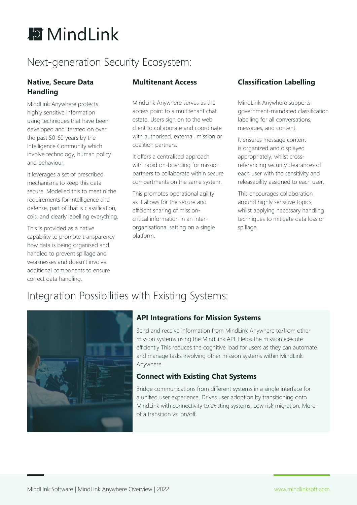# **E** MindLink

# Next-generation Security Ecosystem:

#### **Native, Secure Data Handling**

MindLink Anywhere protects highly sensitive information using techniques that have been developed and iterated on over the past 50-60 years by the Intelligence Community which involve technology, human policy and behaviour.

It leverages a set of prescribed mechanisms to keep this data secure. Modelled this to meet niche requirements for intelligence and defense, part of that is classification, cois, and clearly labelling everything.

This is provided as a native capability to promote transparency how data is being organised and handled to prevent spillage and weaknesses and doesn't involve additional components to ensure correct data handling.

#### **Multitenant Access**

MindLink Anywhere serves as the access point to a multitenant chat estate. Users sign on to the web client to collaborate and coordinate with authorised, external, mission or coalition partners.

It offers a centralised approach with rapid on-boarding for mission partners to collaborate within secure compartments on the same system.

This promotes operational agility as it allows for the secure and efficient sharing of missioncritical information in an interorganisational setting on a single platform.

#### **Classification Labelling**

MindLink Anywhere supports government-mandated classification labelling for all conversations, messages, and content.

It ensures message content is organized and displayed appropriately, whilst crossreferencing security clearances of each user with the sensitivity and releasability assigned to each user.

This encourages collaboration around highly sensitive topics, whilst applying necessary handling techniques to mitigate data loss or spillage.

# Integration Possibilities with Existing Systems:



#### **API Integrations for Mission Systems**

Send and receive information from MindLink Anywhere to/from other mission systems using the MindLink API. Helps the mission execute efficiently This reduces the cognitive load for users as they can automate and manage tasks involving other mission systems within MindLink Anywhere.

#### **Connect with Existing Chat Systems**

Bridge communications from different systems in a single interface for a unified user experience. Drives user adoption by transitioning onto MindLink with connectivity to existing systems. Low risk migration. More of a transition vs. on/off.